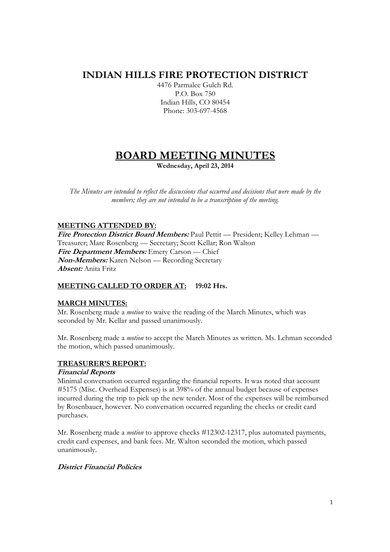## **INDIAN HILLS FIRE PROTECTION DISTRICT**

4476 Parmalee Gulch Rd. P.O. Box 750 Indian Hills, CO 80454 Phone: 303-697-4568

# **BOARD MEETING MINUTES**

**Wednesday, April 23, 2014** 

*The Minutes are intended to reflect the discussions that occurred and decisions that were made by the members; they are not intended to be a transcription of the meeting.* 

## **MEETING ATTENDED BY:**

**Fire Protection District Board Members:** Paul Pettit — President; Kelley Lehman — Treasurer; Marc Rosenberg — Secretary; Scott Kellar; Ron Walton **Fire Department Members:** Emery Carson — Chief **Non-Members:** Karen Nelson — Recording Secretary **Absent:** Anita Fritz

## **MEETING CALLED TO ORDER AT: 19:02 Hrs.**

## **MARCH MINUTES:**

Mr. Rosenberg made a *motion* to waive the reading of the March Minutes, which was seconded by Mr. Kellar and passed unanimously.

Mr. Rosenberg made a *motion* to accept the March Minutes as written. Ms. Lehman seconded the motion, which passed unanimously.

## **TREASURER'S REPORT:**

## **Financial Reports**

Minimal conversation occurred regarding the financial reports. It was noted that account #5175 (Misc. Overhead Expenses) is at 398% of the annual budget because of expenses incurred during the trip to pick up the new tender. Most of the expenses will be reimbursed by Rosenbauer, however. No conversation occurred regarding the checks or credit card purchases.

Mr. Rosenberg made a *motion* to approve checks #12302-12317, plus automated payments, credit card expenses, and bank fees. Mr. Walton seconded the motion, which passed unanimously.

## **District Financial Policies**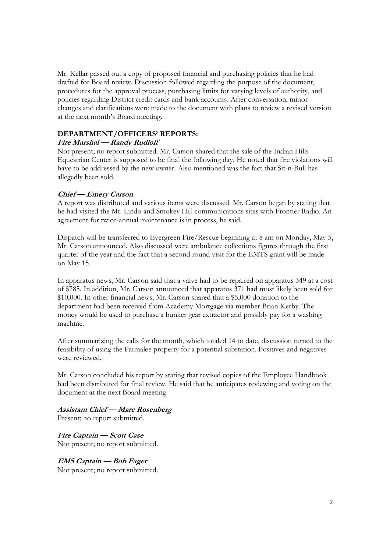Mr. Kellar passed out a copy of proposed financial and purchasing policies that he had drafted for Board review. Discussion followed regarding the purpose of the document, procedures for the approval process, purchasing limits for varying levels of authority, and policies regarding District credit cards and bank accounts. After conversation, minor changes and clarifications were made to the document with plans to review a revised version at the next month's Board meeting.

#### **DEPARTMENT/OFFICERS' REPORTS:**

#### **Fire Marshal — Randy Rudloff**

Not present; no report submitted. Mr. Carson shared that the sale of the Indian Hills Equestrian Center is supposed to be final the following day. He noted that fire violations will have to be addressed by the new owner. Also mentioned was the fact that Sit-n-Bull has allegedly been sold.

#### **Chief — Emery Carson**

A report was distributed and various items were discussed. Mr. Carson began by stating that he had visited the Mt. Lindo and Smokey Hill communications sites with Frontier Radio. An agreement for twice-annual maintenance is in process, he said.

Dispatch will be transferred to Evergreen Fire/Rescue beginning at 8 am on Monday, May 5, Mr. Carson announced. Also discussed were ambulance collections figures through the first quarter of the year and the fact that a second round visit for the EMTS grant will be made on May 15.

In apparatus news, Mr. Carson said that a valve had to be repaired on apparatus 349 at a cost of \$785. In addition, Mr. Carson announced that apparatus 371 had most likely been sold for \$10,000. In other financial news, Mr. Carson shared that a \$5,000 donation to the department had been received from Academy Mortgage via member Brian Kerby. The money would be used to purchase a bunker gear extractor and possibly pay for a washing machine.

After summarizing the calls for the month, which totaled 14 to date, discussion turned to the feasibility of using the Parmalee property for a potential substation. Positives and negatives were reviewed.

Mr. Carson concluded his report by stating that revised copies of the Employee Handbook had been distributed for final review. He said that he anticipates reviewing and voting on the document at the next Board meeting.

#### **Assistant Chief — Marc Rosenberg**

Present; no report submitted.

**Fire Captain — Scott Case**  Not present; no report submitted.

**EMS Captain — Bob Fager** Not present; no report submitted.